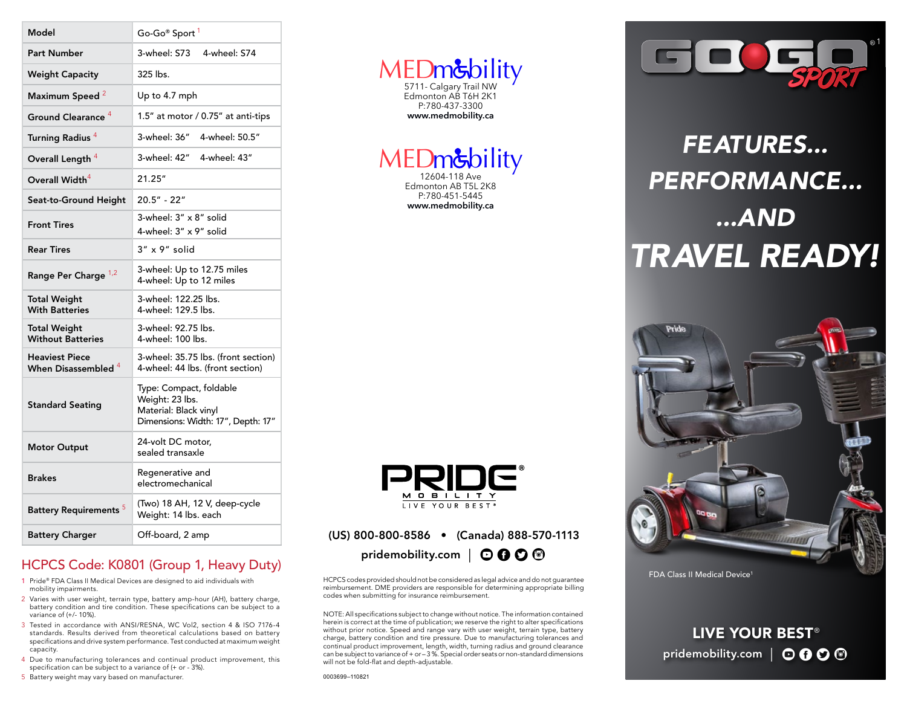| Model                                           | Go-Go® Sport <sup>1</sup>                                                                                 |
|-------------------------------------------------|-----------------------------------------------------------------------------------------------------------|
| <b>Part Number</b>                              | 3-wheel: S73<br>4-wheel: S74                                                                              |
| <b>Weight Capacity</b>                          | 325 lbs.                                                                                                  |
| Maximum Speed <sup>2</sup>                      | Up to 4.7 mph                                                                                             |
| Ground Clearance <sup>4</sup>                   | 1.5" at motor / 0.75" at anti-tips                                                                        |
| Turning Radius <sup>4</sup>                     | 3-wheel: 36″<br>4-wheel: 50.5"                                                                            |
| Overall Length <sup>4</sup>                     | 3-wheel: 42"<br>4-wheel: 43"                                                                              |
| Overall Width $^4$                              | 21.25"                                                                                                    |
| Seat-to-Ground Height                           | 20.5" - 22"                                                                                               |
| <b>Front Tires</b>                              | 3-wheel: 3" x 8" solid<br>4-wheel: 3" x 9" solid                                                          |
| <b>Rear Tires</b>                               | $3'' \times 9''$ solid                                                                                    |
| Range Per Charge 1,2                            | 3-wheel: Up to 12.75 miles<br>4-wheel: Up to 12 miles                                                     |
| Total Weight<br><b>With Batteries</b>           | 3-wheel: 122.25 lbs.<br>4-wheel: 129.5 lbs.                                                               |
| <b>Total Weight</b><br><b>Without Batteries</b> | 3-wheel: 92.75 lbs.<br>4-wheel: 100 lbs.                                                                  |
| <b>Heaviest Piece</b><br>When Disassembled 4    | 3-wheel: 35.75 lbs. (front section)<br>4-wheel: 44 lbs. (front section)                                   |
| <b>Standard Seating</b>                         | Type: Compact, foldable<br>Weight: 23 lbs.<br>Material: Black vinyl<br>Dimensions: Width: 17", Depth: 17" |
| <b>Motor Output</b>                             | 24-volt DC motor,<br>sealed transaxle                                                                     |
| <b>Brakes</b>                                   | Regenerative and<br>electromechanical                                                                     |
| <b>Battery Requirements</b> <sup>5</sup>        | (Two) 18 AH, 12 V, deep-cycle<br>Weight: 14 lbs. each                                                     |
| <b>Battery Charger</b>                          | Off-board, 2 amp                                                                                          |
|                                                 |                                                                                                           |

### HCPCS Code: K0801 (Group 1, Heavy Duty)

- 1 Pride® FDA Class II Medical Devices are designed to aid individuals with mobility impairments.
- 2 Varies with user weight, terrain type, battery amp-hour (AH), battery charge, battery condition and tire condition. These specifications can be subject to a variance of (+/- 10%).
- 3 Tested in accordance with ANSI/RESNA, WC Vol2, section 4 & ISO 7176-4 standards. Results derived from theoretical calculations based on battery specifications and drive system performance. Test conducted at maximum weight capacity.
- 4 Due to manufacturing tolerances and continual product improvement, this specification can be subject to a variance of (+ or - 3%).
- 5 Battery weight may vary based on manufacturer.

## MEDm&bility

Edmonton AB T5L 2K8 P:780-451-5445 **www.medmobility.ca**



### (US) 800-800-8586 • (Canada) 888-570-1113

pridemobility.com |  $\odot$  0  $\odot$  <sup>®</sup>

HCPCS codes provided should not be considered as legal advice and do not guarantee reimbursement. DME providers are responsible for determining appropriate billing codes when submitting for insurance reimbursement.

NOTE: All specifications subject to change without notice. The information contained herein is correct at the time of publication; we reserve the right to alter specifications without prior notice. Speed and range vary with user weight, terrain type, battery charge, battery condition and tire pressure. Due to manufacturing tolerances and continual product improvement, length, width, turning radius and ground clearance can be subject to variance of + or – 3 %. Special order seats or non-standard dimensions will not be fold-flat and depth-adjustable.

1

# *PERFORMANCE... ...AND TRAVEL READY!*



FDA Class II Medical Device<sup>1</sup>